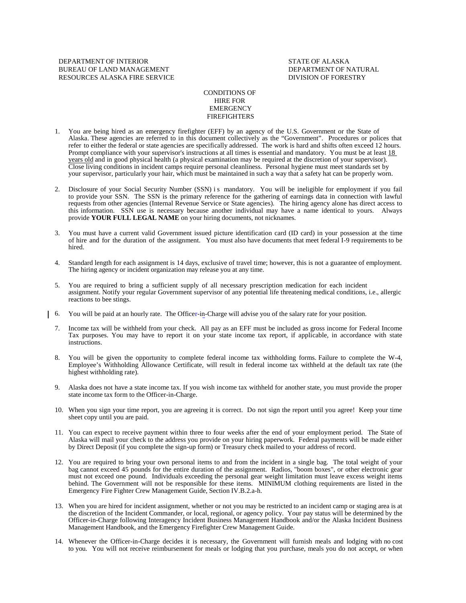DEPARTMENT OF INTERIOR STATE OF ALASKA BUREAU OF LAND MANAGEMENT **Example 20** OF NATURAL DEPARTMENT OF NATURAL RESOURCES ALASKA FIRE SERVICE DIVISION OF FORESTRY

## CONDITIONS OF HIRE FOR EMERGENCY FIREFIGHTERS

- 1. You are being hired as an emergency firefighter (EFF) by an agency of the U.S. Government or the State of Alaska. These agencies are referred to in this document collectively as the "Government". Procedures or polices that refer to either the federal or state agencies are specifically addressed. The work is hard and shifts often exceed 12 hours. Prompt compliance with your supervisor's instructions at all times is essential and mandatory. You must be at least 18 years old and in good physical health (a physical examination may be required at the discretion of your supervisor). Close living conditions in incident camps require personal cleanliness. Personal hygiene must meet standards set by your supervisor, particularly your hair, which must be maintained in such a way that a safety hat can be properly worn.
- 2. Disclosure of your Social Security Number (SSN) i s mandatory. You will be ineligible for employment if you fail to provide your SSN. The SSN is the primary reference for the gathering of earnings data in connection with lawful requests from other agencies (Internal Revenue Service or State agencies). The hiring agency alone has direct access to this information. SSN use is necessary because another individual may have a name identical to yours. Always provide **YOUR FULL LEGAL NAME** on your hiring documents, not nicknames.
- 3. You must have a current valid Government issued picture identification card (ID card) in your possession at the time of hire and for the duration of the assignment. You must also have documents that meet federal I-9 requirements to be hired.
- 4. Standard length for each assignment is 14 days, exclusive of travel time; however, this is not a guarantee of employment. The hiring agency or incident organization may release you at any time.
- 5. You are required to bring a sufficient supply of all necessary prescription medication for each incident assignment. Notify your regular Government supervisor of any potential life threatening medical conditions, i.e., allergic reactions to bee stings.
- 6. You will be paid at an hourly rate. The Officer-in-Charge will advise you of the salary rate for your position.
	- 7. Income tax will be withheld from your check. All pay as an EFF must be included as gross income for Federal Income Tax purposes. You may have to report it on your state income tax report, if applicable, in accordance with state instructions.
	- 8. You will be given the opportunity to complete federal income tax withholding forms. Failure to complete the W-4, Employee's Withholding Allowance Certificate, will result in federal income tax withheld at the default tax rate (the highest withholding rate).
	- 9. Alaska does not have a state income tax. If you wish income tax withheld for another state, you must provide the proper state income tax form to the Officer-in-Charge.
	- 10. When you sign your time report, you are agreeing it is correct. Do not sign the report until you agree! Keep your time sheet copy until you are paid.
	- 11. You can expect to receive payment within three to four weeks after the end of your employment period. The State of Alaska will mail your check to the address you provide on your hiring paperwork. Federal payments will be made either by Direct Deposit (if you complete the sign-up form) or Treasury check mailed to your address of record.
	- 12. You are required to bring your own personal items to and from the incident in a single bag. The total weight of your bag cannot exceed 45 pounds for the entire duration of the assignment. Radios, "boom boxes", or other electronic gear must not exceed one pound. Individuals exceeding the personal gear weight limitation must leave excess weight items behind. The Government will not be responsible for these items. MINIMUM clothing requirements are listed in the Emergency Fire Fighter Crew Management Guide, Section IV.B.2.a-h.
	- 13. When you are hired for incident assignment, whether or not you may be restricted to an incident camp or staging area is at the discretion of the Incident Commander, or local, regional, or agency policy. Your pay status will be determined by the Officer-in-Charge following Interagency Incident Business Management Handbook and/or the Alaska Incident Business Management Handbook, and the Emergency Firefighter Crew Management Guide.
	- 14. Whenever the Officer-in-Charge decides it is necessary, the Government will furnish meals and lodging with no cost to you. You will not receive reimbursement for meals or lodging that you purchase, meals you do not accept, or when